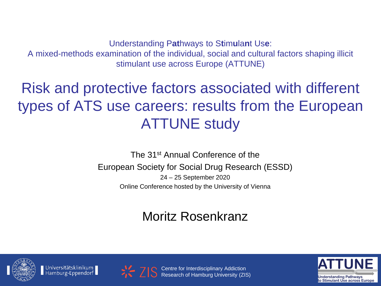Understanding P**at**hways to S**t**im**u**la**n**t Us**e**:

A mixed-methods examination of the individual, social and cultural factors shaping illicit stimulant use across Europe (ATTUNE)

### Risk and protective factors associated with different types of ATS use careers: results from the European ATTUNE study

The 31st Annual Conference of the European Society for Social Drug Research (ESSD) 24 – 25 September 2020 Online Conference hosted by the University of Vienna

#### Moritz Rosenkranz









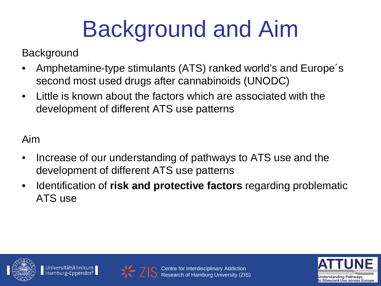# Background and Aim

**Background** 

- Amphetamine-type stimulants (ATS) ranked world's and Europe´s second most used drugs after cannabinoids (UNODC)
- Little is known about the factors which are associated with the development of different ATS use patterns

Aim

- Increase of our understanding of pathways to ATS use and the development of different ATS use patterns
- Identification of **risk and protective factors** regarding problematic ATS use







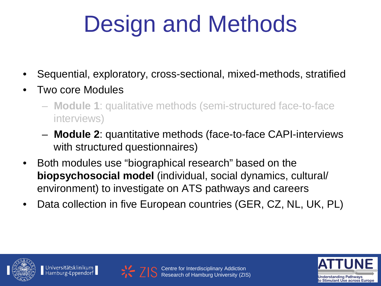# Design and Methods

- Sequential, exploratory, cross-sectional, mixed-methods, stratified
- Two core Modules
	- **Module 1**: qualitative methods (semi-structured face-to-face interviews)
	- **Module 2**: quantitative methods (face-to-face CAPI-interviews with structured questionnaires)
- Both modules use "biographical research" based on the **biopsychosocial model** (individual, social dynamics, cultural/ environment) to investigate on ATS pathways and careers
- Data collection in five European countries (GER, CZ, NL, UK, PL)







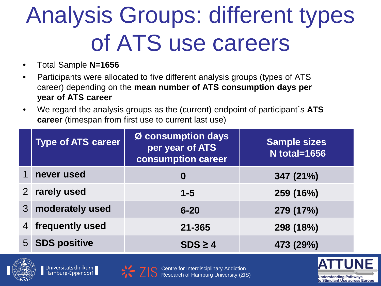## Analysis Groups: different types of ATS use careers

- Total Sample **N=1656**
- Participants were allocated to five different analysis groups (types of ATS career) depending on the **mean number of ATS consumption days per year of ATS career**
- We regard the analysis groups as the (current) endpoint of participant´s **ATS career** (timespan from first use to current last use)

|                | <b>Type of ATS career</b> | Ø consumption days<br>per year of ATS<br>consumption career | <b>Sample sizes</b><br><b>N</b> total=1656 |
|----------------|---------------------------|-------------------------------------------------------------|--------------------------------------------|
| 1              | never used                | O                                                           | 347 (21%)                                  |
| $\overline{2}$ | rarely used               | $1 - 5$                                                     | 259 (16%)                                  |
| 3 <sup>1</sup> | moderately used           | $6 - 20$                                                    | 279 (17%)                                  |
| 4              | frequently used           | $21 - 365$                                                  | 298 (18%)                                  |
|                | 5 SDS positive            | $SDS \geq 4$                                                | 473 (29%)                                  |



Universitätsklinikum<br>Hamburg-Eppendorf



Centre for Interdisciplinary Addiction Research of Hamburg University (ZIS)

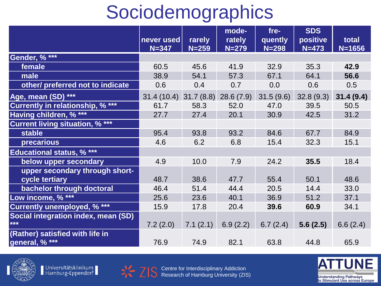### Sociodemographics

|                                            |                         |                     | mode-               | $fre-$               | <b>SDS</b>            |                     |
|--------------------------------------------|-------------------------|---------------------|---------------------|----------------------|-----------------------|---------------------|
|                                            | never used<br>$N = 347$ | rarely<br>$N = 259$ | rately<br>$N = 279$ | quently<br>$N = 298$ | positive<br>$N = 473$ | total<br>$N = 1656$ |
| Gender, % ***                              |                         |                     |                     |                      |                       |                     |
| female                                     | 60.5                    | 45.6                | 41.9                | 32.9                 | 35.3                  | 42.9                |
| male                                       | 38.9                    | 54.1                | 57.3                | 67.1                 | 64.1                  | 56.6                |
| other/ preferred not to indicate           | 0.6                     | 0.4                 | 0.7                 | 0.0                  | 0.6                   | 0.5                 |
| Age, mean (SD) ***                         | 31.4(10.4)              | 31.7(8.8)           | 28.6(7.9)           | 31.5(9.6)            | 32.8(9.3)             | 31.4(9.4)           |
| <b>Currently in relationship, % ***</b>    | 61.7                    | 58.3                | 52.0                | 47.0                 | 39.5                  | 50.5                |
| Having children, % ***                     | 27.7                    | 27.4                | 20.1                | 30.9                 | 42.5                  | 31.2                |
| <b>Current living situation, % ***</b>     |                         |                     |                     |                      |                       |                     |
| stable                                     | 95.4                    | 93.8                | 93.2                | 84.6                 | 67.7                  | 84.9                |
| precarious                                 | 4.6                     | 6.2                 | 6.8                 | 15.4                 | 32.3                  | 15.1                |
| <b>Educational status, % ***</b>           |                         |                     |                     |                      |                       |                     |
| below upper secondary                      | 4.9                     | 10.0                | 7.9                 | 24.2                 | 35.5                  | 18.4                |
| upper secondary through short-             |                         |                     |                     |                      |                       |                     |
| cycle tertiary                             | 48.7                    | 38.6                | 47.7                | 55.4                 | 50.1                  | 48.6                |
| bachelor through doctoral                  | 46.4                    | 51.4                | 44.4                | 20.5                 | 14.4                  | 33.0                |
| Low income, % ***                          | 25.6                    | 23.6                | 40.1                | 36.9                 | 51.2                  | 37.1                |
| <b>Currently unemployed, % ***</b>         | 15.9                    | 17.8                | 20.4                | 39.6                 | 60.9                  | 34.1                |
| Social integration index, mean (SD)<br>*** | 7.2(2.0)                | 7.1(2.1)            | 6.9(2.2)            | 6.7(2.4)             | 5.6(2.5)              | 6.6(2.4)            |
| (Rather) satisfied with life in            |                         |                     |                     |                      |                       |                     |
| general, % ***                             | 76.9                    | 74.9                | 82.1                | 63.8                 | 44.8                  | 65.9                |



Universitätsklinikum<br>Hamburg-Eppendorf



Centre for Interdisciplinary Addiction Research of Hamburg University (ZIS)

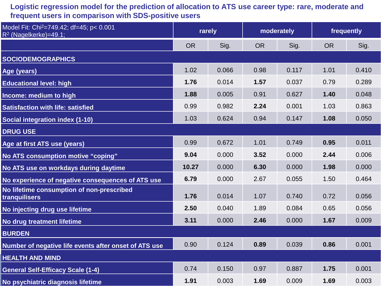#### **Logistic regression model for the prediction of allocation to ATS use career type: rare, moderate and frequent users in comparison with SDS-positive users**

| Model Fit: Chi <sup>2</sup> =749.42; df=45; p< 0.001<br>$R^2$ (Nagelkerke)=49.1; | rarely    |       | moderately |       | frequently |       |
|----------------------------------------------------------------------------------|-----------|-------|------------|-------|------------|-------|
|                                                                                  | <b>OR</b> | Sig.  | <b>OR</b>  | Sig.  | <b>OR</b>  | Sig.  |
| <b>SOCIODEMOGRAPHICS</b>                                                         |           |       |            |       |            |       |
| Age (years)                                                                      | 1.02      | 0.066 | 0.98       | 0.117 | 1.01       | 0.410 |
| <b>Educational level: high</b>                                                   | 1.76      | 0.014 | 1.57       | 0.037 | 0.79       | 0.289 |
| Income: medium to high                                                           | 1.88      | 0.005 | 0.91       | 0.627 | 1.40       | 0.048 |
| <b>Satisfaction with life: satisfied</b>                                         | 0.99      | 0.982 | 2.24       | 0.001 | 1.03       | 0.863 |
| Social integration index (1-10)                                                  | 1.03      | 0.624 | 0.94       | 0.147 | 1.08       | 0.050 |
| <b>DRUG USE</b>                                                                  |           |       |            |       |            |       |
| Age at first ATS use (years)                                                     | 0.99      | 0.672 | 1.01       | 0.749 | 0.95       | 0.011 |
| No ATS consumption motive "coping"                                               | 9.04      | 0.000 | 3.52       | 0.000 | 2.44       | 0.006 |
| No ATS use on workdays during daytime                                            | 10.27     | 0.000 | 6.30       | 0.000 | 1.98       | 0.000 |
| No experience of negative consequences of ATS use                                | 6.79      | 0.000 | 2.67       | 0.055 | 1.50       | 0.464 |
| No lifetime consumption of non-prescribed<br>tranquilisers                       | 1.76      | 0.014 | 1.07       | 0.740 | 0.72       | 0.056 |
| No injecting drug use lifetime                                                   | 2.50      | 0.040 | 1.89       | 0.084 | 0.65       | 0.056 |
| No drug treatment lifetime                                                       | 3.11      | 0.000 | 2.46       | 0.000 | 1.67       | 0.009 |
| <b>BURDEN</b>                                                                    |           |       |            |       |            |       |
| Number of negative life events after onset of ATS use                            | 0.90      | 0.124 | 0.89       | 0.039 | 0.86       | 0.001 |
| <b>HEALTH AND MIND</b>                                                           |           |       |            |       |            |       |
| <b>General Self-Efficacy Scale (1-4)</b>                                         | 0.74      | 0.150 | 0.97       | 0.887 | 1.75       | 0.001 |
| No psychiatric diagnosis lifetime                                                | 1.91      | 0.003 | 1.69       | 0.009 | 1.69       | 0.003 |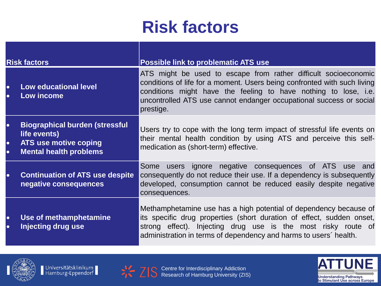### **Risk factors**

| <b>Risk factors</b>                 |                                                                                                                 | <b>Possible link to problematic ATS use</b>                                                                                                                                                                                                                                                        |
|-------------------------------------|-----------------------------------------------------------------------------------------------------------------|----------------------------------------------------------------------------------------------------------------------------------------------------------------------------------------------------------------------------------------------------------------------------------------------------|
| $\bullet$<br>$\bullet$              | <b>Low educational level</b><br>Low income                                                                      | ATS might be used to escape from rather difficult socioeconomic<br>conditions of life for a moment. Users being confronted with such living<br>conditions might have the feeling to have nothing to lose, i.e.<br>uncontrolled ATS use cannot endanger occupational success or social<br>prestige. |
| $\bullet$<br>$\bullet$<br>$\bullet$ | <b>Biographical burden (stressful</b><br>life events)<br>ATS use motive coping<br><b>Mental health problems</b> | Users try to cope with the long term impact of stressful life events on<br>their mental health condition by using ATS and perceive this self-<br>medication as (short-term) effective.                                                                                                             |
| $\bullet$                           | <b>Continuation of ATS use despite</b><br>negative consequences                                                 | Some users ignore negative consequences of ATS use and<br>consequently do not reduce their use. If a dependency is subsequently<br>developed, consumption cannot be reduced easily despite negative<br>consequences.                                                                               |
| $\bullet$<br>$\bullet$              | Use of methamphetamine<br>Injecting drug use                                                                    | Methamphetamine use has a high potential of dependency because of<br>its specific drug properties (short duration of effect, sudden onset,<br>strong effect). Injecting drug use is the most risky route of<br>administration in terms of dependency and harms to users' health.                   |



Universitätsklinikum<br>Hamburg-Eppendorf



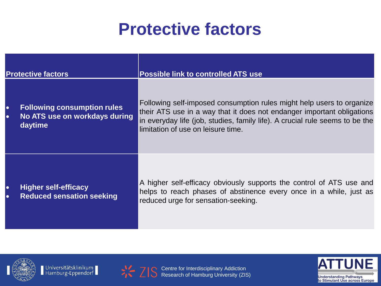### **Protective factors**

| <b>Protective factors</b> |                                                                                | <b>Possible link to controlled ATS use</b>                                                                                                                                                                                                                            |  |  |  |
|---------------------------|--------------------------------------------------------------------------------|-----------------------------------------------------------------------------------------------------------------------------------------------------------------------------------------------------------------------------------------------------------------------|--|--|--|
| $\bullet$<br>$\bullet$    | <b>Following consumption rules</b><br>No ATS use on workdays during<br>daytime | Following self-imposed consumption rules might help users to organize<br>their ATS use in a way that it does not endanger important obligations<br>in everyday life (job, studies, family life). A crucial rule seems to be the<br>limitation of use on leisure time. |  |  |  |
| $\bullet$<br>Ю            | <b>Higher self-efficacy</b><br><b>Reduced sensation seeking</b>                | A higher self-efficacy obviously supports the control of ATS use and<br>helps to reach phases of abstinence every once in a while, just as<br>reduced urge for sensation-seeking.                                                                                     |  |  |  |



Universitätsklinikum<br>Hamburg-Eppendorf



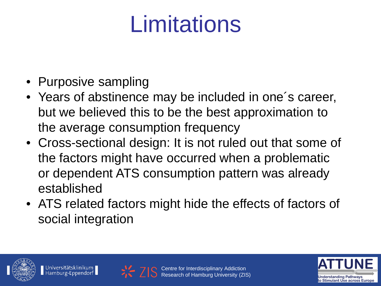## Limitations

- Purposive sampling
- Years of abstinence may be included in one´s career, but we believed this to be the best approximation to the average consumption frequency
- Cross-sectional design: It is not ruled out that some of the factors might have occurred when a problematic or dependent ATS consumption pattern was already established
- ATS related factors might hide the effects of factors of social integration







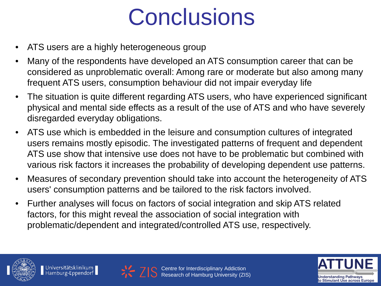## **Conclusions**

- ATS users are a highly heterogeneous group
- Many of the respondents have developed an ATS consumption career that can be considered as unproblematic overall: Among rare or moderate but also among many frequent ATS users, consumption behaviour did not impair everyday life
- The situation is quite different regarding ATS users, who have experienced significant physical and mental side effects as a result of the use of ATS and who have severely disregarded everyday obligations.
- ATS use which is embedded in the leisure and consumption cultures of integrated users remains mostly episodic. The investigated patterns of frequent and dependent ATS use show that intensive use does not have to be problematic but combined with various risk factors it increases the probability of developing dependent use patterns.
- Measures of secondary prevention should take into account the heterogeneity of ATS users' consumption patterns and be tailored to the risk factors involved.
- Further analyses will focus on factors of social integration and skip ATS related factors, for this might reveal the association of social integration with problematic/dependent and integrated/controlled ATS use, respectively.